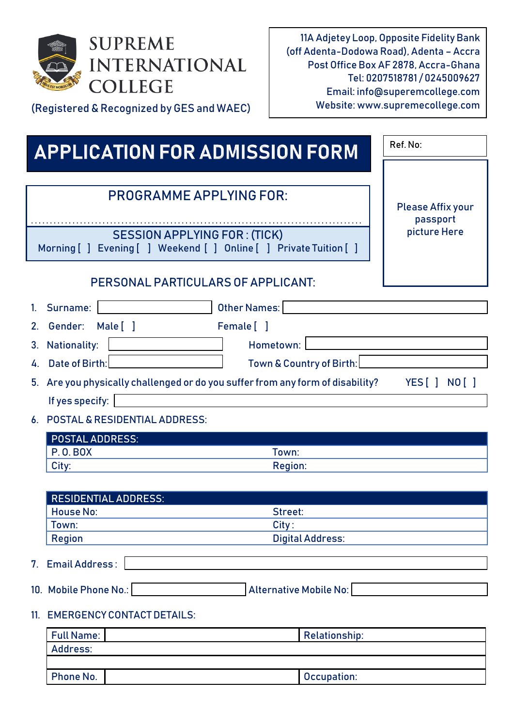

(Registered & Recognized by GES and WAEC)

11A Adjetey Loop, Opposite Fidelity Bank (off Adenta-Dodowa Road), Adenta – Accra Post Office Box AF 2878, Accra-Ghana Tel: 0207518781 / 0245009627 Email: info@superemcollege.com Website: www.supremecollege.com

**Ref. No:**

# **APPLICATION FOR ADMISSION FORM**

|     | <b>PROGRAMME APPLYING FOR:</b>                                                                            | <b>Please Affix your</b> |
|-----|-----------------------------------------------------------------------------------------------------------|--------------------------|
|     |                                                                                                           | passport<br>picture Here |
|     | <b>SESSION APPLYING FOR: (TICK)</b><br>Morning [ ] Evening [ ] Weekend [ ] Online [ ] Private Tuition [ ] |                          |
|     | PERSONAL PARTICULARS OF APPLICANT:                                                                        |                          |
|     | Other Names:<br>1. Surname:                                                                               |                          |
|     | Male [1<br>2. Gender:<br>Female [ ]                                                                       |                          |
| 3.  | <b>Nationality:</b><br>Hometown:                                                                          |                          |
|     | 4. Date of Birth:                                                                                         |                          |
|     | Town & Country of Birth:                                                                                  |                          |
| 5.  | Are you physically challenged or do you suffer from any form of disability?                               | YES [ ] NO [ ]           |
|     | If yes specify:                                                                                           |                          |
|     | 6. POSTAL & RESIDENTIAL ADDRESS:                                                                          |                          |
|     | <b>POSTAL ADDRESS:</b>                                                                                    |                          |
|     | <b>P.O.BOX</b><br>Town:                                                                                   |                          |
|     | <b>Region:</b><br>City:                                                                                   |                          |
|     |                                                                                                           |                          |
|     | <b>RESIDENTIAL ADDRESS:</b><br><b>House No:</b><br>Street:                                                |                          |
|     | Town:<br>City:                                                                                            |                          |
|     | <b>Digital Address:</b><br><b>Region</b>                                                                  |                          |
|     | 7. Email Address:                                                                                         |                          |
|     | 10. Mobile Phone No.:<br>Alternative Mobile No:                                                           |                          |
| 11. | <b>EMERGENCY CONTACT DETAILS:</b>                                                                         |                          |
|     | <b>Full Name:</b><br><b>Relationship:</b>                                                                 |                          |
|     | Address:                                                                                                  |                          |

| <b>Phone No.</b> | Occupation: |
|------------------|-------------|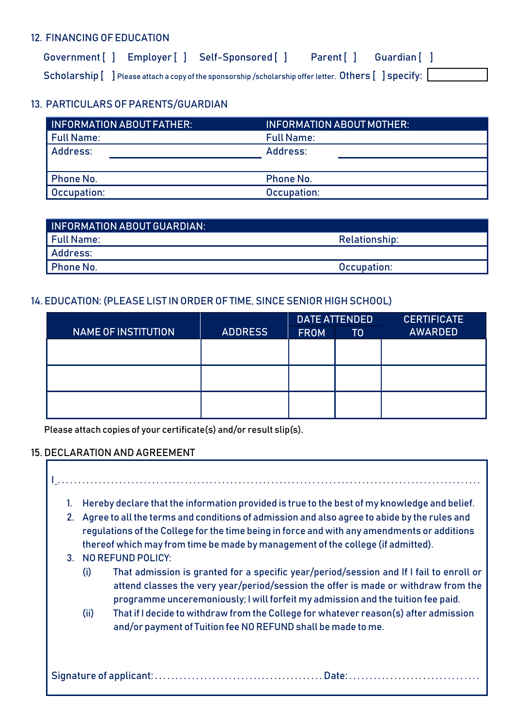#### **12. FINANCING OF EDUCATION**

| Government [ ] Employer [ ] Self-Sponsored [ ] Parent [ ] Guardian [ ]                                                                                                                                                    |  |  |
|---------------------------------------------------------------------------------------------------------------------------------------------------------------------------------------------------------------------------|--|--|
| $\mathsf{Scholarship}$ $\left[ \begin{array}{c} \end{array} \right]$ Please attach a copy of the sponsorship /scholarship offer letter. $\mathsf{Others} \left[ \begin{array}{c} \end{array} \right]$ $\mathsf{specify:}$ |  |  |

# **13. PARTICULARS OF PARENTS/GUARDIAN**

| <b>INFORMATION ABOUT FATHER:</b> | <b>INFORMATION ABOUT MOTHER:</b> |
|----------------------------------|----------------------------------|
| <b>Full Name:</b>                | <b>Full Name:</b>                |
| Address:                         | Address:                         |
|                                  |                                  |
| <b>Phone No.</b>                 | <b>Phone No.</b>                 |
| Occupation:                      | Occupation:                      |

| <b>INFORMATION ABOUT GUARDIAN:</b> |                      |  |
|------------------------------------|----------------------|--|
| l Full Name:                       | <b>Relationship:</b> |  |
| Address:                           |                      |  |
| <b>Phone No.</b>                   | Occupation:          |  |
|                                    |                      |  |

## **14. EDUCATION: (PLEASE LIST IN ORDER OF TIME, SINCE SENIOR HIGH SCHOOL)**

|                            |                | <b>DATE ATTENDED</b> |                | <b>CERTIFICATE</b> |  |
|----------------------------|----------------|----------------------|----------------|--------------------|--|
| <b>NAME OF INSTITUTION</b> | <b>ADDRESS</b> | <b>FROM</b>          | T <sub>0</sub> | <b>AWARDED</b>     |  |
|                            |                |                      |                |                    |  |
|                            |                |                      |                |                    |  |
|                            |                |                      |                |                    |  |
|                            |                |                      |                |                    |  |
|                            |                |                      |                |                    |  |
|                            |                |                      |                |                    |  |

Please attach copies of your certificate(s) and/or result slip(s).

### **15. DECLARATION AND AGREEMENT**

| 1. |                      | Hereby declare that the information provided is true to the best of my knowledge and belief.                                                                                                                                                                                  |
|----|----------------------|-------------------------------------------------------------------------------------------------------------------------------------------------------------------------------------------------------------------------------------------------------------------------------|
| 2. |                      | Agree to all the terms and conditions of admission and also agree to abide by the rules and<br>regulations of the College for the time being in force and with any amendments or additions<br>thereof which may from time be made by management of the college (if admitted). |
|    | 3. NO REFUND POLICY: |                                                                                                                                                                                                                                                                               |
|    | (i)                  | That admission is granted for a specific year/period/session and If I fail to enroll or<br>attend classes the very year/period/session the offer is made or withdraw from the<br>programme unceremoniously; I will forfeit my admission and the tuition fee paid.             |
|    | (ii)                 | That if I decide to withdraw from the College for whatever reason(s) after admission<br>and/or payment of Tuition fee NO REFUND shall be made to me.                                                                                                                          |
|    |                      |                                                                                                                                                                                                                                                                               |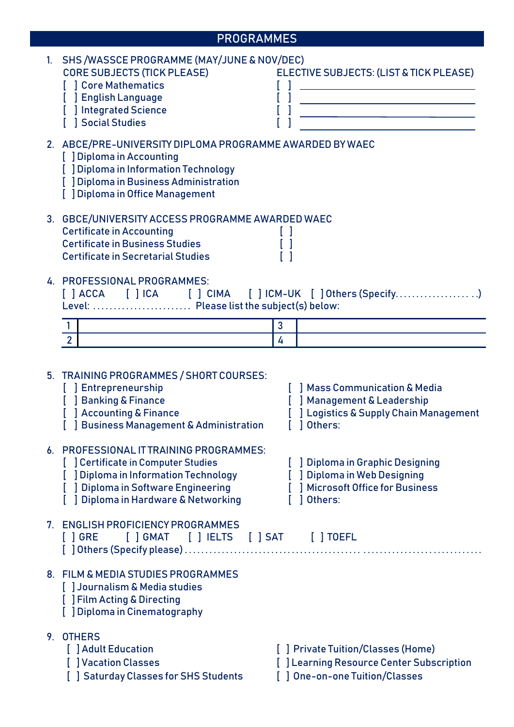|    | <b>PROGRAMMES</b>                                                                                                                                                                                            |   |                                                                                                                   |
|----|--------------------------------------------------------------------------------------------------------------------------------------------------------------------------------------------------------------|---|-------------------------------------------------------------------------------------------------------------------|
| 1. | SHS /WASSCE PROGRAMME (MAY/JUNE & NOV/DEC)<br><b>CORE SUBJECTS (TICK PLEASE)</b><br>[ ] Core Mathematics<br>] English Language<br>[ ] Integrated Science<br>  Social Studies                                 |   | ELECTIVE SUBJECTS: (LIST & TICK PLEASE)<br><u> 1989 - Johann Stoff, fransk politik (d. 19</u>                     |
|    | 2. ABCE/PRE-UNIVERSITY DIPLOMA PROGRAMME AWARDED BY WAEC<br>[ ] Diploma in Accounting<br>[ ] Diploma in Information Technology<br>[ ] Diploma in Business Administration<br>[ ] Diploma in Office Management |   |                                                                                                                   |
|    | 3. GBCE/UNIVERSITY ACCESS PROGRAMME AWARDED WAEC<br><b>Certificate in Accounting</b><br><b>Certificate in Business Studies</b><br><b>Certificate in Secretarial Studies</b>                                  |   |                                                                                                                   |
|    | 4. PROFESSIONAL PROGRAMMES:<br>Level:  Please list the subject(s) below:<br>1 <sup>1</sup>                                                                                                                   | 3 |                                                                                                                   |
|    | $\overline{2}$                                                                                                                                                                                               | 4 |                                                                                                                   |
|    | 5. TRAINING PROGRAMMES / SHORT COURSES:<br><b>J</b> Entrepreneurship<br><b>J</b> Banking & Finance<br>[ ] Accounting & Finance<br>[ ] Business Management & Administration                                   |   | Mass Communication & Media<br>[ ] Management & Leadership<br>[] Logistics & Supply Chain Management<br>1 Others:  |
|    | 6. PROFESSIONAL IT TRAINING PROGRAMMES:<br>[] Certificate in Computer Studies<br>] Diploma in Information Technology<br>[] Diploma in Software Engineering<br>] Diploma in Hardware & Networking             |   | [] Diploma in Graphic Designing<br>[ ] Diploma in Web Designing<br>[ ] Microsoft Office for Business<br>1 Others: |
|    | 7. ENGLISH PROFICIENCY PROGRAMMES<br>$\lceil$ $\rceil$ GRE                                                                                                                                                   |   |                                                                                                                   |
|    | 8. FILM & MEDIA STUDIES PROGRAMMES<br>[] Journalism & Media studies<br>[ ] Film Acting & Directing<br>[ ] Diploma in Cinematography                                                                          |   |                                                                                                                   |
|    | 9. OTHERS<br>[ ] Adult Education                                                                                                                                                                             |   | [] Private Tuition/Classes (Home)                                                                                 |

- 
- 
- **[ ] Saturday Classes for SHS Students [ ] One-on-one Tuition/Classes**
- **[ ] Vacation Classes [ ] Learning Resource Center Subscription** 
	-